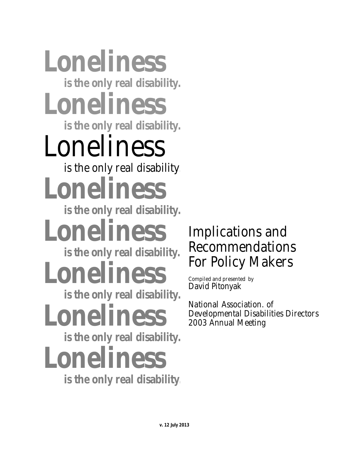# **Loneliness is the only real disability. Loneliness is the only real disability.** Loneliness is the only real disability. **Loneliness is the only real disability. Loneliness is the only real disability. Loneliness is the only real disability. Loneliness is the only real disability. Loneliness**

 **is the only real disability.** 

## Implications and Recommendations For Policy Makers

Compiled and presented by David Pitonyak

National Association. of Developmental Disabilities Directors 2003 Annual Meeting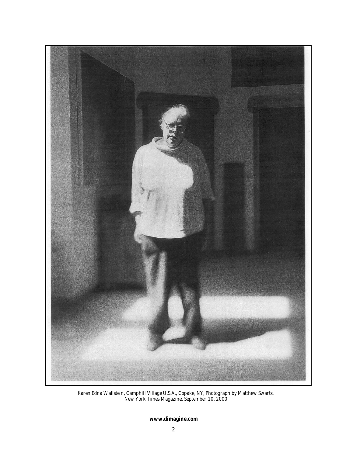

Karen Edna Wallstein, Camphill Village U.S.A., Copake, NY, Photograph by Matthew Swarts, New York Times Magazine, September 10, 2000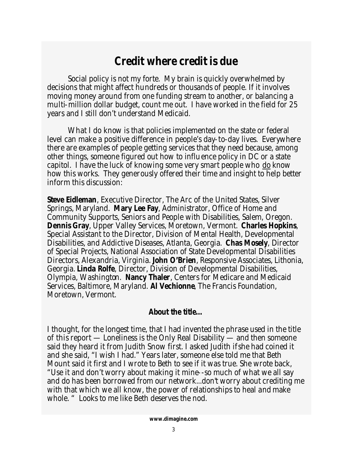### **Credit where credit is due**

 Social policy is not my forte. My brain is quickly overwhelmed by decisions that might affect hundreds or thousands of people. If it involves moving money around from one funding stream to another, or balancing a multi-million dollar budget, count me out. I have worked in the field for 25 years and I still don't understand Medicaid.

 What I do know is that policies implemented on the state or federal level can make a positive difference in people's day-to-day lives. Everywhere there are examples of people getting services that they need because, among other things, someone figured out how to influence policy in DC or a state capitol. I have the luck of knowing some very smart people who do know how this works. They generously offered their time and insight to help better inform this discussion:

**Steve Eidleman**, Executive Director, The Arc of the United States, Silver Springs, Maryland. **Mary Lee Fay**, Administrator, Office of Home and Community Supports, Seniors and People with Disabilities, Salem, Oregon. **Dennis Gray**, Upper Valley Services, Moretown, Vermont. **Charles Hopkins**, Special Assistant to the Director, Division of Mental Health, Developmental Disabilities, and Addictive Diseases, Atlanta, Georgia. **Chas Mosely**, Director of Special Projects, National Association of State Developmental Disabilities Directors, Alexandria, Virginia. **John O'Brien**, Responsive Associates, Lithonia, Georgia. **Linda Rolfe**, Director, Division of Developmental Disabilities, Olympia, Washington. **Nancy Thaler**, Centers for Medicare and Medicaid Services, Baltimore, Maryland. **Al Vechionne**, The Francis Foundation, Moretown, Vermont.

#### **About the title…**

I thought, for the longest time, that I had invented the phrase used in the title of this report — *Loneliness is the Only Real Disability —* and then someone said they heard it from Judith Snow first. I asked Judith if she had coined it and she said, "I wish I had." Years later, someone else told me that Beth Mount said it first and I wrote to Beth to see if it was true. She wrote back, "Use it and don't worry about making it mine--so much of what we all say and do has been borrowed from our network...don't worry about crediting me with that which we all know, the power of relationships to heal and make whole. " Looks to me like Beth deserves the nod.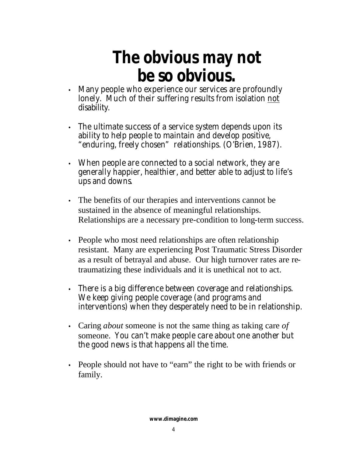## **The obvious may not be so obvious.**

- Many people who experience our services are profoundly lonely. Much of their suffering results from isolation not disability.
- The ultimate success of a service system depends upon its ability to help people to maintain and develop positive, "enduring, freely chosen" relationships. (O'Brien, 1987).
- When people are connected to a social network, they are generally happier, healthier, and better able to adjust to life's ups and downs.
- The benefits of our therapies and interventions cannot be sustained in the absence of meaningful relationships. Relationships are a necessary pre-condition to long-term success.
- People who most need relationships are often relationship resistant. Many are experiencing Post Traumatic Stress Disorder as a result of betrayal and abuse. Our high turnover rates are retraumatizing these individuals and it is unethical not to act.
- There is a big difference between coverage and relationships. We keep giving people coverage (and programs and interventions) when they desperately need to be in relationship.
- Caring *about* someone is not the same thing as taking care *of*  someone. You can't make people care about one another but the good news is that happens all the time.
- People should not have to "earn" the right to be with friends or family.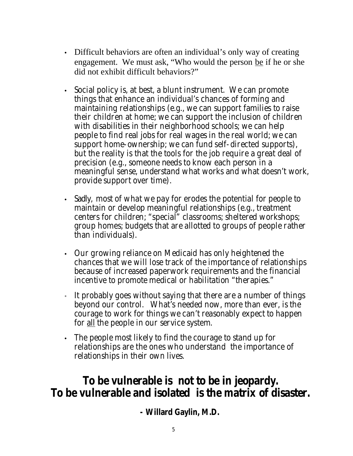- Difficult behaviors are often an individual's only way of creating engagement. We must ask, "Who would the person be if he or she did not exhibit difficult behaviors?"
- Social policy is, at best, a blunt instrument. We can promote things that enhance an individual's chances of forming and maintaining relationships (e.g., we can support families to raise their children at home; we can support the inclusion of children with disabilities in their neighborhood schools; we can help people to find real jobs for real wages in the real world; we can support home-ownership; we can fund self-directed supports), but the reality is that the tools for the job require a great deal of precision (e.g., someone needs to know each person in a meaningful sense, understand what works and what doesn't work, provide support over time).
- Sadly, most of what we pay for erodes the potential for people to maintain or develop meaningful relationships (e.g., treatment centers for children; "special" classrooms; sheltered workshops; group homes; budgets that are allotted to groups of people rather than individuals).
- Our growing reliance on Medicaid has only heightened the chances that we will lose track of the importance of relationships because of increased paperwork requirements and the financial incentive to promote medical or habilitation "therapies."
- It probably goes without saying that there are a number of things beyond our control. What's needed now, more than ever, is the courage to work for things we can't reasonably expect to happen for all the people in our service system.
- The people most likely to find the courage to stand up for relationships are the ones who understand the importance of relationships in their own lives.

### *To be vulnerable is not to be in jeopardy. To be vulnerable and isolated is the matrix of disaster***.**

ww.dimagine.com **- Willard Gaylin, M.D.**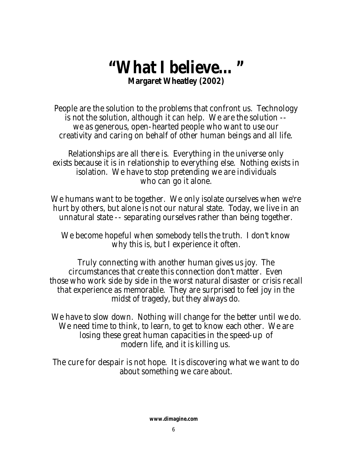## **"What I believe…" Margaret Wheatley (2002)**

*People are the solution to the problems that confront us. Technology is not the solution, although it can help. We are the solution - we as generous, open-hearted people who want to use our creativity and caring on behalf of other human beings and all life.*

*Relationships are all there is. Everything in the universe only exists because it is in relationship to everything else. Nothing exists in isolation. We have to stop pretending we are individuals who can go it alone.*

*We humans want to be together. We only isolate ourselves when we're hurt by others, but alone is not our natural state. Today, we live in an unnatural state -- separating ourselves rather than being together.* 

*We become hopeful when somebody tells the truth. I don't know why this is, but I experience it often.*

*Truly connecting with another human gives us joy. The circumstances that create this connection don't matter. Even those who work side by side in the worst natural disaster or crisis recall that experience as memorable. They are surprised to feel joy in the midst of tragedy, but they always do.*

*We have to slow down. Nothing will change for the better until we do. We need time to think, to learn, to get to know each other. We are losing these great human capacities in the speed-up of modern life, and it is killing us.*

*The cure for despair is not hope. It is discovering what we want to do about something we care about.*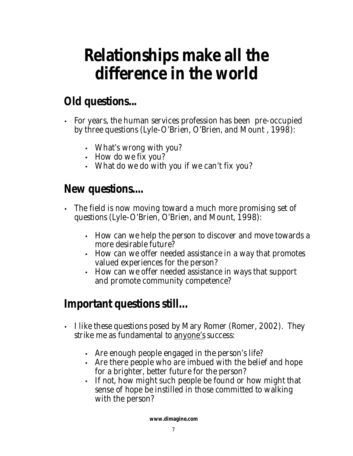## **Relationships make all the difference in the world**

## **Old questions...**

- For years, the human services profession has been pre-occupied by three questions (Lyle-O'Brien, O'Brien, and Mount , 1998):
	- *What's wrong with you?*
	- *How do we fix you?*
	- *What do we do with you if we can't fix you?*

## **New questions....**

- The field is now moving toward a much more promising set of questions (Lyle-O'Brien, O'Brien, and Mount, 1998):
	- *How can we help the person to discover and move towards a more desirable future?*
	- *How can we offer needed assistance in a way that promotes valued experiences for the person?*
	- *How can we offer needed assistance in ways that support and promote community competence?*

## **Important questions still…**

- I like these questions posed by Mary Romer (Romer, 2002). They strike me as fundamental to anyone's success:
	- *Are enough people engaged in the person's life?*
	- *Are there people who are imbued with the belief and hope for a brighter, better future for the person?*
	- *If not, how might such people be found or how might that sense of hope be instilled in those committed to walking with the person?*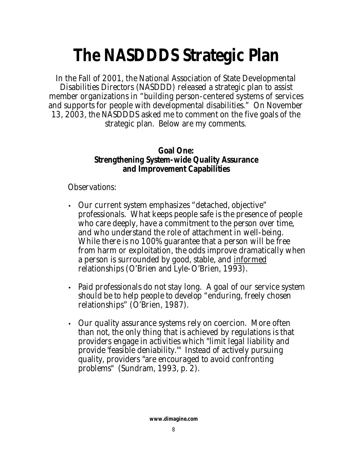## **The NASDDDS Strategic Plan**

In the Fall of 2001, the National Association of State Developmental Disabilities Directors (NASDDD) released a strategic plan to assist member organizations in "building person-centered systems of services and supports for people with developmental disabilities." On November 13, 2003, the NASDDDS asked me to comment on the five goals of the strategic plan. Below are my comments.

#### *Goal One: Strengthening System-wide Quality Assurance and Improvement Capabilities*

Observations:

- Our current system emphasizes "detached, objective" professionals. What keeps people safe is the presence of people who care deeply, have a commitment to the person over time, and who understand the role of attachment in well-being. While there is no 100% guarantee that a person will be free from harm or exploitation, the odds improve dramatically when a person is surrounded by good, stable, and informed relationships (O'Brien and Lyle-O'Brien, 1993).
- Paid professionals do not stay long. A goal of our service system should be to help people to develop "enduring, freely chosen relationships" (O'Brien, 1987).
- Our quality assurance systems rely on coercion. More often than not, the only thing that is achieved by regulations is that providers engage in activities which "limit legal liability and provide 'feasible deniability.'" Instead of actively pursuing quality, providers "are encouraged to avoid confronting problems" (Sundram, 1993, p. 2).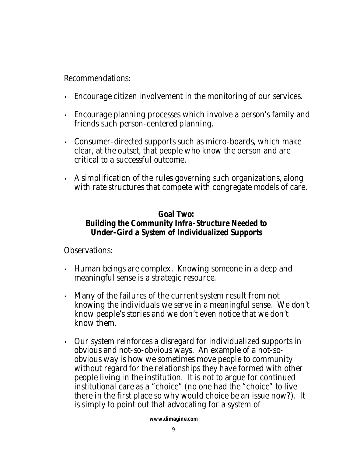Recommendations:

- Encourage citizen involvement in the monitoring of our services.
- Encourage planning processes which involve a person's family and friends such person-centered planning.
- Consumer-directed supports such as micro-boards, which make clear, at the outset, that people who *know* the person and are critical to a successful outcome.
- A simplification of the rules governing such organizations, along with rate structures that compete with congregate models of care.

#### *Goal Two: Building the Community Infra-Structure Needed to Under-Gird a System of Individualized Supports*

Observations:

- Human beings are complex. *Knowing* someone in a deep and meaningful sense is a strategic resource.
- Many of the failures of the current system result from *not knowing* the individuals we serve in a meaningful sense. We don't know people's stories and we don't even notice that we don't know them.
- Our system reinforces a disregard for individualized supports in obvious and not-so-obvious ways. An example of a not-soobvious way is how we sometimes move people to community without regard for the relationships they have formed with other people living in the institution. It is not to argue for continued institutional care as a "choice" (no one had the "choice" to live there in the first place so why would choice be an issue now?). It is simply to point out that advocating for a system of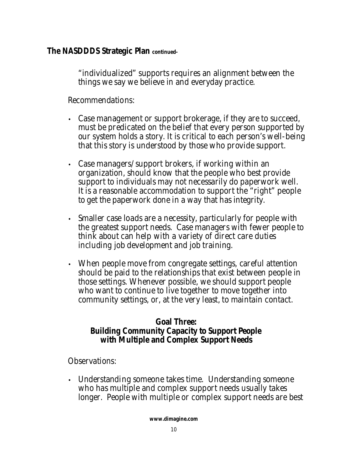"individualized" supports requires an alignment between the things we say we believe in and everyday practice.

Recommendations:

- Case management or support brokerage, if they are to succeed, must be predicated on the belief that every person supported by our system holds a story. It is critical to each person's well-being that this story is understood by those who provide support.
- Case managers/support brokers, if working within an organization, should know that the people who best provide support to individuals may not necessarily do paperwork well. It is a reasonable accommodation to support the "right" people to get the paperwork done in a way that has integrity.
- Smaller case loads are a necessity, particularly for people with the greatest support needs. Case managers with fewer people to think about can help with a variety of direct care duties including job development and job training.
- When people move from congregate settings, careful attention should be paid to the relationships that exist between people in those settings. Whenever possible, we should support people who want to continue to live together to move together into community settings, or, at the very least, to maintain contact.

#### *Goal Three: Building Community Capacity to Support People with Multiple and Complex Support Needs*

Observations:

• Understanding someone takes time. Understanding someone who has multiple and complex support needs usually takes longer. People with multiple or complex support needs are best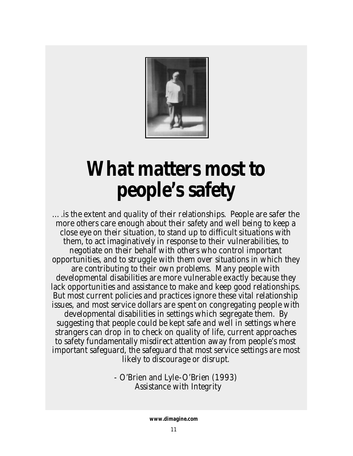

## **What matters most to people's safety**

….is the extent and quality of their relationships. People are safer the more others care enough about their safety and well being to keep a close eye on their situation, to stand up to difficult situations with them, to act imaginatively in response to their vulnerabilities, to negotiate on their behalf with others who control important opportunities, and to struggle with them over situations in which they are contributing to their own problems. Many people with developmental disabilities are more vulnerable exactly because they lack opportunities and assistance to make and keep good relationships. But most current policies and practices ignore these vital relationship issues, and most service dollars are spent on congregating people with developmental disabilities in settings which segregate them. By suggesting that people could be kept safe and well in settings where strangers can drop in to check on quality of life, current approaches to safety fundamentally misdirect attention away from people's most important safeguard, the safeguard that most service settings are most likely to discourage or disrupt.

> - O'Brien and Lyle-O'Brien (1993) *Assistance with Integrity*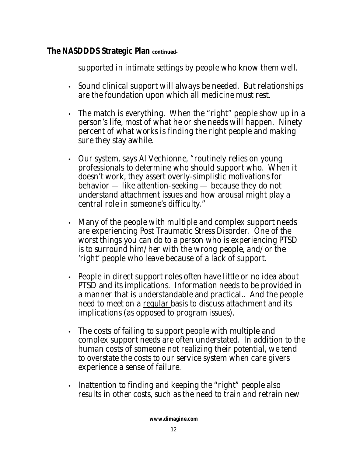supported in intimate settings by people who know them well.

- Sound clinical support will always be needed. But relationships are the foundation upon which all medicine must rest.
- The match is everything. When the "right" people show up in a person's life, most of what he or she needs will happen. Ninety percent of what works is finding the right people and making sure they stay awhile.
- Our system, says Al Vechionne, "routinely relies on young professionals to determine who should support who. When it doesn't work, they assert overly-simplistic motivations for behavior — like attention-seeking — because they do not understand attachment issues and how arousal might play a central role in someone's difficulty."
- Many of the people with multiple and complex support needs are experiencing Post Traumatic Stress Disorder. One of the worst things you can do to a person who is experiencing PTSD is to surround him/her with the wrong people, and/or the 'right' people who leave because of a lack of support.
- People in direct support roles often have little or no idea about PTSD and its implications. Information needs to be provided in a manner that is understandable and practical.. And the people need to meet on a regular basis to discuss attachment and its implications (as opposed to program issues).
- The costs of failing to support people with multiple and complex support needs are often understated. In addition to the human costs of someone not realizing their potential, we tend to overstate the costs to our service system when care givers experience a sense of failure.
- Inattention to finding and keeping the "right" people also results in other costs, such as the need to train and retrain new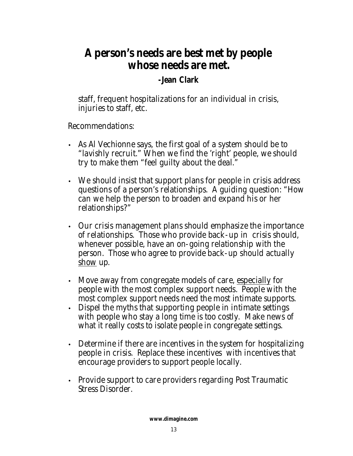## *A person's needs are best met by people whose needs are met.*

#### **-Jean Clark**

staff, frequent hospitalizations for an individual in crisis, injuries to staff, etc.

Recommendations:

- As Al Vechionne says, the first goal of a system should be to "lavishly recruit." When we find the 'right' people, we should try to make them "feel guilty about the deal."
- We should insist that support plans for people in crisis address questions of a person's relationships. A guiding question: "How can we help the person to broaden and expand his or her relationships?"
- Our crisis management plans should emphasize the importance of relationships. Those who provide back-up in crisis should, whenever possible, have an on-going relationship with the person. Those who agree to provide back-up should actually show up.
- Move away from congregate models of care, especially for people with the most complex support needs. People with the most complex support needs need the most intimate supports.
- Dispel the myths that supporting people in intimate settings with people who stay a long time is too costly. Make news of what it really costs to isolate people in congregate settings.
- Determine if there are incentives in the system for hospitalizing people in crisis. Replace these incentives with incentives that encourage providers to support people locally.
- Provide support to care providers regarding Post Traumatic Stress Disorder.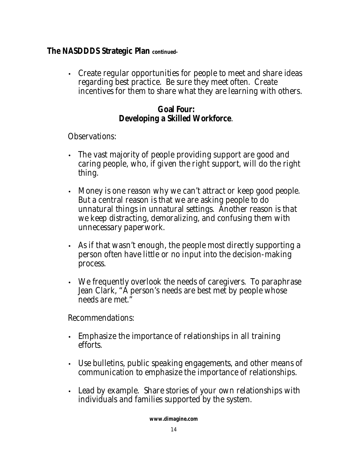• Create regular opportunities for people to meet and share ideas regarding best practice. Be sure they meet often. Create incentives for them to share what they are learning with others.

#### *Goal Four: Developing a Skilled Workforce.*

Observations:

- The vast majority of people providing support are good and caring people, who, if given the right support, will do the right thing.
- Money is one reason why we can't attract or keep good people. But a central reason is that we are asking people to do unnatural things in unnatural settings. Another reason is that we keep distracting, demoralizing, and confusing them with unnecessary paperwork.
- As if that wasn't enough, the people most directly supporting a person often have little or no input into the decision-making process.
- We frequently overlook the needs of caregivers. To paraphrase Jean Clark, "A person's needs are best met by people whose needs are met."

Recommendations:

- Emphasize the importance of relationships in all training efforts.
- Use bulletins, public speaking engagements, and other means of communication to emphasize the importance of relationships.
- Lead by example. Share stories of your own relationships with individuals and families supported by the system.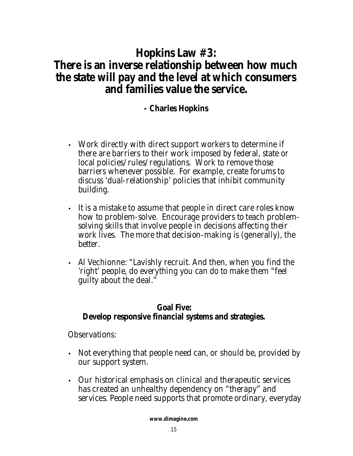### **Hopkins Law #3: There is an inverse relationship between how much the state will pay and the level at which consumers and families value the service.**

### **- Charles Hopkins**

- Work directly with direct support workers to determine if there are barriers to their work imposed by federal, state or local policies/rules/regulations. Work to remove those barriers whenever possible. For example, create forums to discuss 'dual-relationship' policies that inhibit community building.
- It is a mistake to assume that people in direct care roles know how to problem-solve. Encourage providers to teach problemsolving skills that involve people in decisions affecting their work lives. The more that decision-making is (generally), the better.
- Al Vechionne: "Lavishly recruit. And then, when you find the 'right' people, do everything you can do to make them "feel guilty about the deal."

#### *Goal Five: Develop responsive financial systems and strategies.*

Observations:

- Not everything that people need can, or should be, provided by our support system.
- Our historical emphasis on clinical and therapeutic services has created an unhealthy dependency on "therapy" and services. People need supports that promote ordinary, everyday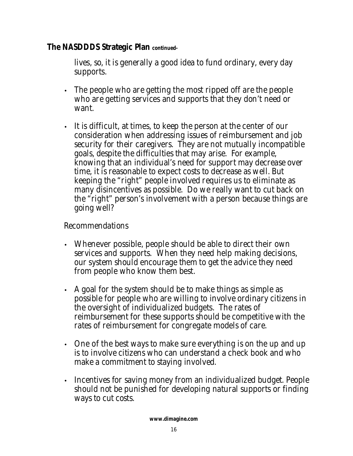lives, so, it is generally a good idea to fund ordinary, every day supports.

- The people who are getting the most ripped off are the people who are getting services and supports that they don't need or want.
- It is difficult, at times, to keep the person at the center of our consideration when addressing issues of reimbursement and job security for their caregivers. They are not mutually incompatible goals, despite the difficulties that may arise. For example, knowing that an individual's need for support may decrease over time, it is reasonable to expect costs to decrease as well. But keeping the "right" people involved requires us to eliminate as many disincentives as possible. Do we really want to cut back on the "right" person's involvement with a person because things are going well?

#### Recommendations

- Whenever possible, people should be able to direct their own services and supports. When they need help making decisions, our system should encourage them to get the advice they need from people who *know* them best.
- A goal for the system should be to make things as simple as possible for people who are willing to involve ordinary citizens in the oversight of individualized budgets. The rates of reimbursement for these supports should be competitive with the rates of reimbursement for congregate models of care.
- One of the best ways to make sure everything is on the up and up is to involve citizens who can understand a check book and who make a commitment to staying *involved*.
- Incentives for saving money from an individualized budget. People should not be punished for developing natural supports or finding ways to cut costs.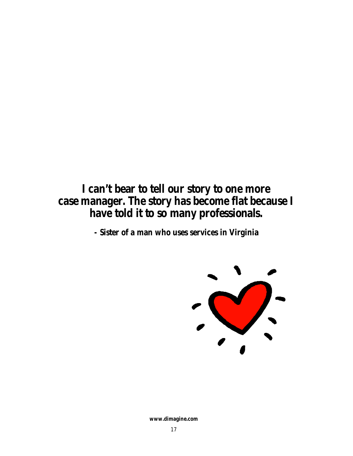### *I can't bear to tell our story to one more case manager. The story has become flat because I have told it to so many professionals.*

*-* **Sister of a man who uses services in Virginia**